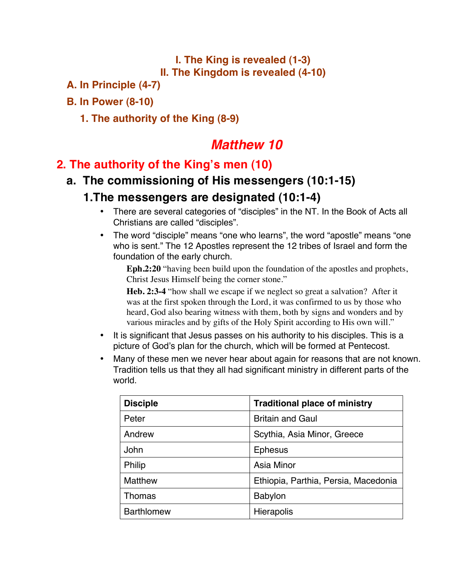#### **I. The King is revealed (1-3) II. The Kingdom is revealed (4-10)**

**A. In Principle (4-7)** 

#### **B. In Power (8-10)**

#### **1. The authority of the King (8-9)**

# *Matthew 10*

#### **2. The authority of the King's men (10)**

### **a. The commissioning of His messengers (10:1-15)**

#### **1.The messengers are designated (10:1-4)**

- There are several categories of "disciples" in the NT. In the Book of Acts all Christians are called "disciples".
- The word "disciple" means "one who learns", the word "apostle" means "one who is sent." The 12 Apostles represent the 12 tribes of Israel and form the foundation of the early church.

**Eph.2:20** "having been build upon the foundation of the apostles and prophets, Christ Jesus Himself being the corner stone."

**Heb. 2:3-4** "how shall we escape if we neglect so great a salvation? After it was at the first spoken through the Lord, it was confirmed to us by those who heard, God also bearing witness with them, both by signs and wonders and by various miracles and by gifts of the Holy Spirit according to His own will."

- It is significant that Jesus passes on his authority to his disciples. This is a picture of God's plan for the church, which will be formed at Pentecost.
- Many of these men we never hear about again for reasons that are not known. Tradition tells us that they all had significant ministry in different parts of the world.

| <b>Disciple</b>   | <b>Traditional place of ministry</b> |
|-------------------|--------------------------------------|
| Peter             | <b>Britain and Gaul</b>              |
| Andrew            | Scythia, Asia Minor, Greece          |
| John              | <b>Ephesus</b>                       |
| <b>Philip</b>     | Asia Minor                           |
| <b>Matthew</b>    | Ethiopia, Parthia, Persia, Macedonia |
| <b>Thomas</b>     | <b>Babylon</b>                       |
| <b>Barthlomew</b> | <b>Hierapolis</b>                    |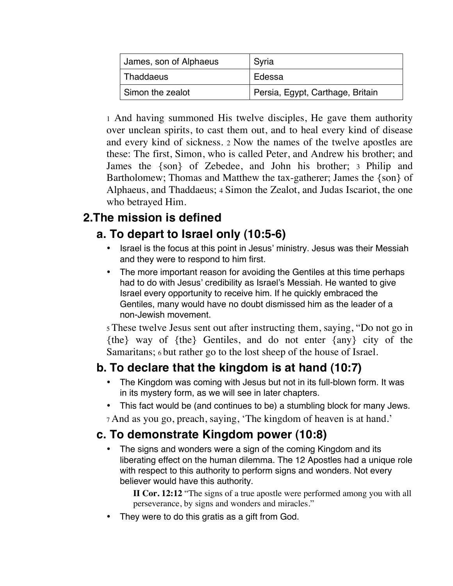| James, son of Alphaeus | Syria                            |
|------------------------|----------------------------------|
| Thaddaeus              | Edessa                           |
| Simon the zealot       | Persia, Egypt, Carthage, Britain |

1 And having summoned His twelve disciples, He gave them authority over unclean spirits, to cast them out, and to heal every kind of disease and every kind of sickness. 2 Now the names of the twelve apostles are these: The first, Simon, who is called Peter, and Andrew his brother; and James the {son} of Zebedee, and John his brother; 3 Philip and Bartholomew; Thomas and Matthew the tax-gatherer; James the {son} of Alphaeus, and Thaddaeus; 4 Simon the Zealot, and Judas Iscariot, the one who betrayed Him.

### **2.The mission is defined**

## **a. To depart to Israel only (10:5-6)**

- Israel is the focus at this point in Jesus' ministry. Jesus was their Messiah and they were to respond to him first.
- The more important reason for avoiding the Gentiles at this time perhaps had to do with Jesus' credibility as Israel's Messiah. He wanted to give Israel every opportunity to receive him. If he quickly embraced the Gentiles, many would have no doubt dismissed him as the leader of a non-Jewish movement.

5 These twelve Jesus sent out after instructing them, saying, "Do not go in {the} way of {the} Gentiles, and do not enter {any} city of the Samaritans; 6 but rather go to the lost sheep of the house of Israel.

#### **b. To declare that the kingdom is at hand (10:7)**

- The Kingdom was coming with Jesus but not in its full-blown form. It was in its mystery form, as we will see in later chapters.
- This fact would be (and continues to be) a stumbling block for many Jews.

7 And as you go, preach, saying, 'The kingdom of heaven is at hand.'

#### **c. To demonstrate Kingdom power (10:8)**

The signs and wonders were a sign of the coming Kingdom and its liberating effect on the human dilemma. The 12 Apostles had a unique role with respect to this authority to perform signs and wonders. Not every believer would have this authority.

**II Cor. 12:12** "The signs of a true apostle were performed among you with all perseverance, by signs and wonders and miracles."

They were to do this gratis as a gift from God.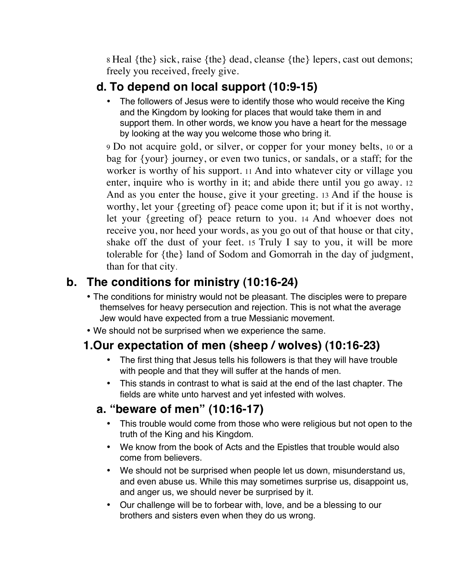8 Heal {the} sick, raise {the} dead, cleanse {the} lepers, cast out demons; freely you received, freely give.

### **d. To depend on local support (10:9-15)**

The followers of Jesus were to identify those who would receive the King and the Kingdom by looking for places that would take them in and support them. In other words, we know you have a heart for the message by looking at the way you welcome those who bring it.

9 Do not acquire gold, or silver, or copper for your money belts, 10 or a bag for {your} journey, or even two tunics, or sandals, or a staff; for the worker is worthy of his support. 11 And into whatever city or village you enter, inquire who is worthy in it; and abide there until you go away. 12 And as you enter the house, give it your greeting. 13 And if the house is worthy, let your {greeting of} peace come upon it; but if it is not worthy, let your {greeting of} peace return to you. 14 And whoever does not receive you, nor heed your words, as you go out of that house or that city, shake off the dust of your feet. 15 Truly I say to you, it will be more tolerable for {the} land of Sodom and Gomorrah in the day of judgment, than for that city.

### **b. The conditions for ministry (10:16-24)**

- The conditions for ministry would not be pleasant. The disciples were to prepare themselves for heavy persecution and rejection. This is not what the average Jew would have expected from a true Messianic movement.
- We should not be surprised when we experience the same.

## **1.Our expectation of men (sheep / wolves) (10:16-23)**

- The first thing that Jesus tells his followers is that they will have trouble with people and that they will suffer at the hands of men.
- This stands in contrast to what is said at the end of the last chapter. The fields are white unto harvest and yet infested with wolves.

#### **a. "beware of men" (10:16-17)**

- This trouble would come from those who were religious but not open to the truth of the King and his Kingdom.
- We know from the book of Acts and the Epistles that trouble would also come from believers.
- We should not be surprised when people let us down, misunderstand us, and even abuse us. While this may sometimes surprise us, disappoint us, and anger us, we should never be surprised by it.
- Our challenge will be to forbear with, love, and be a blessing to our brothers and sisters even when they do us wrong.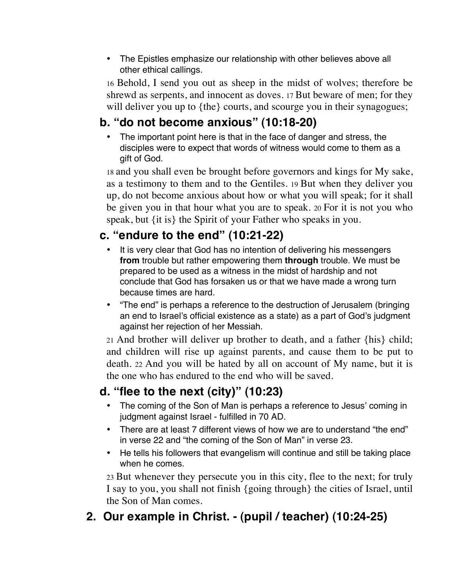• The Epistles emphasize our relationship with other believes above all other ethical callings.

16 Behold, I send you out as sheep in the midst of wolves; therefore be shrewd as serpents, and innocent as doves. 17 But beware of men; for they will deliver you up to {the} courts, and scourge you in their synagogues;

### **b. "do not become anxious" (10:18-20)**

• The important point here is that in the face of danger and stress, the disciples were to expect that words of witness would come to them as a gift of God.

18 and you shall even be brought before governors and kings for My sake, as a testimony to them and to the Gentiles. 19 But when they deliver you up, do not become anxious about how or what you will speak; for it shall be given you in that hour what you are to speak. 20 For it is not you who speak, but {it is} the Spirit of your Father who speaks in you.

### **c. "endure to the end" (10:21-22)**

- It is very clear that God has no intention of delivering his messengers **from** trouble but rather empowering them **through** trouble. We must be prepared to be used as a witness in the midst of hardship and not conclude that God has forsaken us or that we have made a wrong turn because times are hard.
- "The end" is perhaps a reference to the destruction of Jerusalem (bringing an end to Israel's official existence as a state) as a part of God's judgment against her rejection of her Messiah.

21 And brother will deliver up brother to death, and a father {his} child; and children will rise up against parents, and cause them to be put to death. 22 And you will be hated by all on account of My name, but it is the one who has endured to the end who will be saved.

## **d. "flee to the next (city)" (10:23)**

- The coming of the Son of Man is perhaps a reference to Jesus' coming in judgment against Israel - fulfilled in 70 AD.
- There are at least 7 different views of how we are to understand "the end" in verse 22 and "the coming of the Son of Man" in verse 23.
- He tells his followers that evangelism will continue and still be taking place when he comes.

23 But whenever they persecute you in this city, flee to the next; for truly I say to you, you shall not finish {going through} the cities of Israel, until the Son of Man comes.

# **2. Our example in Christ. - (pupil / teacher) (10:24-25)**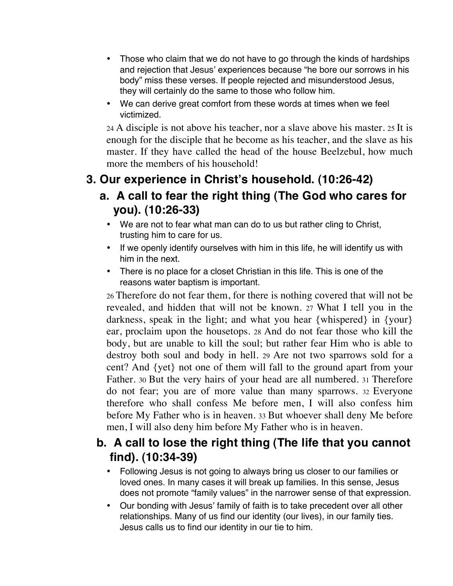- Those who claim that we do not have to go through the kinds of hardships and rejection that Jesus' experiences because "he bore our sorrows in his body" miss these verses. If people rejected and misunderstood Jesus, they will certainly do the same to those who follow him.
- We can derive great comfort from these words at times when we feel victimized.

24 A disciple is not above his teacher, nor a slave above his master. 25 It is enough for the disciple that he become as his teacher, and the slave as his master. If they have called the head of the house Beelzebul, how much more the members of his household!

#### **3. Our experience in Christ's household. (10:26-42)**

#### **a. A call to fear the right thing (The God who cares for you). (10:26-33)**

- We are not to fear what man can do to us but rather cling to Christ, trusting him to care for us.
- If we openly identify ourselves with him in this life, he will identify us with him in the next.
- There is no place for a closet Christian in this life. This is one of the reasons water baptism is important.

26 Therefore do not fear them, for there is nothing covered that will not be revealed, and hidden that will not be known. 27 What I tell you in the darkness, speak in the light; and what you hear {whispered} in {your} ear, proclaim upon the housetops. 28 And do not fear those who kill the body, but are unable to kill the soul; but rather fear Him who is able to destroy both soul and body in hell. 29 Are not two sparrows sold for a cent? And {yet} not one of them will fall to the ground apart from your Father. 30 But the very hairs of your head are all numbered. 31 Therefore do not fear; you are of more value than many sparrows. 32 Everyone therefore who shall confess Me before men, I will also confess him before My Father who is in heaven. 33 But whoever shall deny Me before men, I will also deny him before My Father who is in heaven.

#### **b. A call to lose the right thing (The life that you cannot find). (10:34-39)**

- Following Jesus is not going to always bring us closer to our families or loved ones. In many cases it will break up families. In this sense, Jesus does not promote "family values" in the narrower sense of that expression.
- Our bonding with Jesus' family of faith is to take precedent over all other relationships. Many of us find our identity (our lives), in our family ties. Jesus calls us to find our identity in our tie to him.